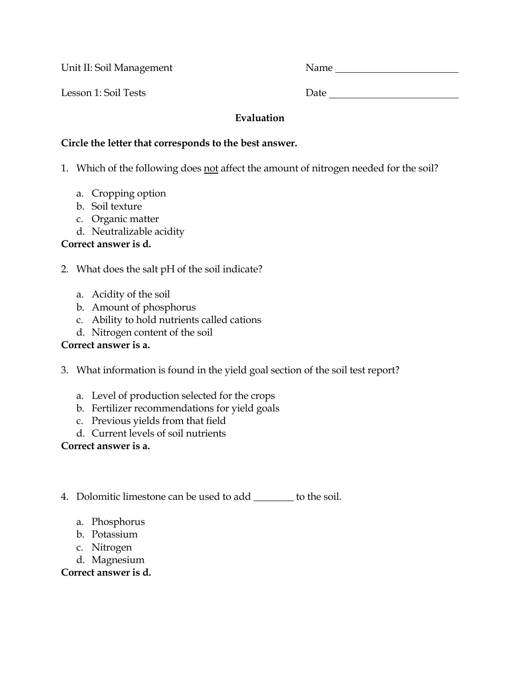Unit II: Soil Management Name

Lesson 1: Soil Tests Date Date Date

#### **Evaluation**

#### **Circle the letter that corresponds to the best answer.**

1. Which of the following does not affect the amount of nitrogen needed for the soil?

- a. Cropping option
- b. Soil texture
- c. Organic matter
- d. Neutralizable acidity

# **Correct answer is d.**

- 2. What does the salt pH of the soil indicate?
	- a. Acidity of the soil
	- b. Amount of phosphorus
	- c. Ability to hold nutrients called cations
	- d. Nitrogen content of the soil

# **Correct answer is a.**

- 3. What information is found in the yield goal section of the soil test report?
	- a. Level of production selected for the crops
	- b. Fertilizer recommendations for yield goals
	- c. Previous yields from that field
	- d. Current levels of soil nutrients

## **Correct answer is a.**

- 4. Dolomitic limestone can be used to add \_\_\_\_\_\_\_\_ to the soil.
	- a. Phosphorus
	- b. Potassium
	- c. Nitrogen
	- d. Magnesium

## **Correct answer is d.**